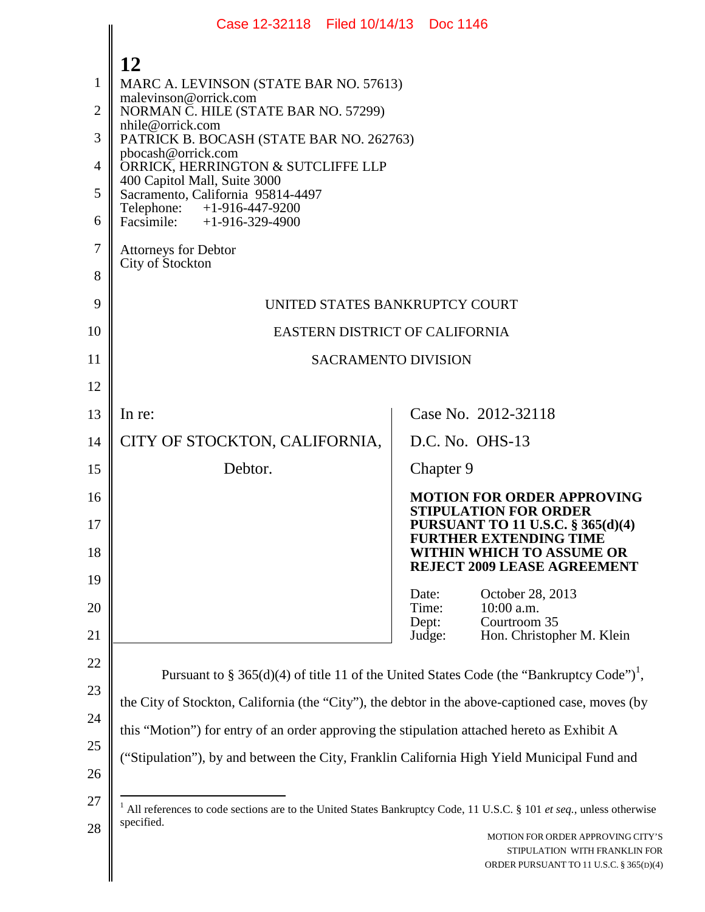|    | Case 12-32118 Filed 10/14/13 Doc 1146                                                                               |                |                                                                           |
|----|---------------------------------------------------------------------------------------------------------------------|----------------|---------------------------------------------------------------------------|
|    | 12                                                                                                                  |                |                                                                           |
| 1  | MARC A. LEVINSON (STATE BAR NO. 57613)                                                                              |                |                                                                           |
| 2  | malevinson@orrick.com<br>NORMAN C. HILE (STATE BAR NO. 57299)                                                       |                |                                                                           |
| 3  | nhile@orrick.com<br>PATRICK B. BOCASH (STATE BAR NO. 262763)                                                        |                |                                                                           |
| 4  | pbocash@orrick.com<br>ORRICK, HERRINGTON & SUTCLIFFE LLP                                                            |                |                                                                           |
| 5  | 400 Capitol Mall, Suite 3000<br>Sacramento, California 95814-4497                                                   |                |                                                                           |
| 6  | Telephone: +1-916-447-9200<br>Facsimile: $+1-916-329-4900$                                                          |                |                                                                           |
| 7  | <b>Attorneys for Debtor</b>                                                                                         |                |                                                                           |
| 8  | City of Stockton                                                                                                    |                |                                                                           |
| 9  | UNITED STATES BANKRUPTCY COURT                                                                                      |                |                                                                           |
| 10 | EASTERN DISTRICT OF CALIFORNIA                                                                                      |                |                                                                           |
| 11 | <b>SACRAMENTO DIVISION</b>                                                                                          |                |                                                                           |
| 12 |                                                                                                                     |                |                                                                           |
| 13 | In re:                                                                                                              |                | Case No. 2012-32118                                                       |
| 14 | CITY OF STOCKTON, CALIFORNIA,                                                                                       |                | D.C. No. OHS-13                                                           |
| 15 | Debtor.                                                                                                             | Chapter 9      |                                                                           |
| 16 |                                                                                                                     |                | <b>MOTION FOR ORDER APPROVING</b><br><b>STIPULATION FOR ORDER</b>         |
| 17 |                                                                                                                     |                | <b>PURSUANT TO 11 U.S.C. § 365(d)(4)</b><br><b>FURTHER EXTENDING TIME</b> |
| 18 |                                                                                                                     |                | WITHIN WHICH TO ASSUME OR<br><b>REJECT 2009 LEASE AGREEMENT</b>           |
| 19 |                                                                                                                     | Date:          | October 28, 2013                                                          |
| 20 |                                                                                                                     | Time:<br>Dept: | $10:00$ a.m.<br>Courtroom 35                                              |
| 21 |                                                                                                                     | Judge:         | Hon. Christopher M. Klein                                                 |
| 22 | Pursuant to § 365(d)(4) of title 11 of the United States Code (the "Bankruptcy Code") <sup>1</sup> ,                |                |                                                                           |
| 23 | the City of Stockton, California (the "City"), the debtor in the above-captioned case, moves (by                    |                |                                                                           |
| 24 | this "Motion") for entry of an order approving the stipulation attached hereto as Exhibit A                         |                |                                                                           |
| 25 | ("Stipulation"), by and between the City, Franklin California High Yield Municipal Fund and                         |                |                                                                           |
| 26 |                                                                                                                     |                |                                                                           |
| 27 | All references to code sections are to the United States Bankruptcy Code, 11 U.S.C. § 101 et seq., unless otherwise |                |                                                                           |
| 28 | specified.                                                                                                          |                | MOTION FOR ORDER APPROVING CITY'S<br>STIPULATION WITH FRANKLIN FOR        |
|    |                                                                                                                     |                | ORDER PURSUANT TO 11 U.S.C. § 365(D)(4)                                   |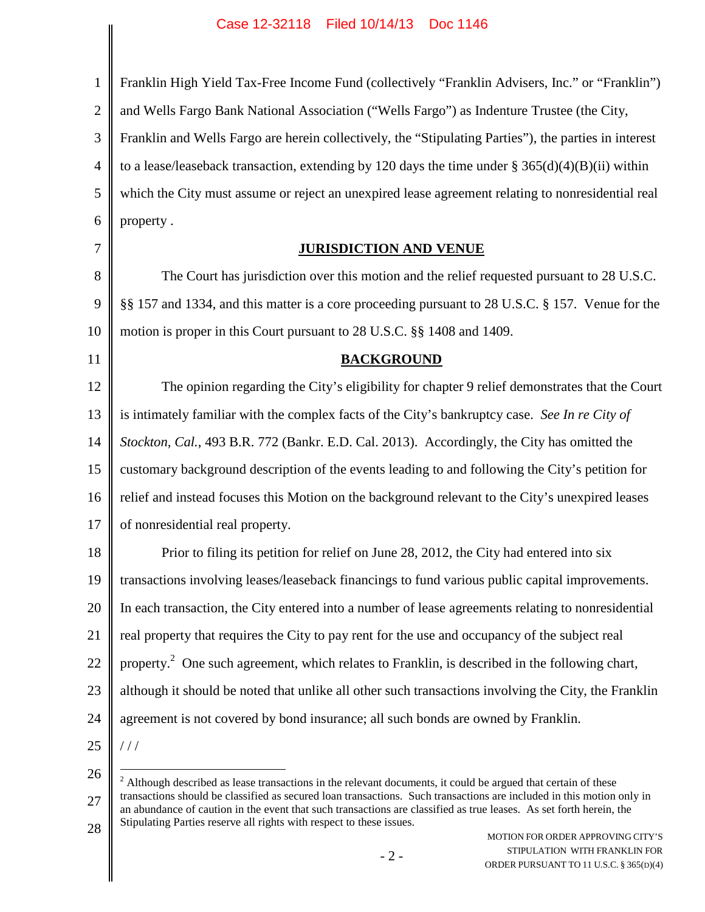| $\mathbf{1}$   | Franklin High Yield Tax-Free Income Fund (collectively "Franklin Advisers, Inc." or "Franklin")                  |
|----------------|------------------------------------------------------------------------------------------------------------------|
| $\overline{2}$ | and Wells Fargo Bank National Association ("Wells Fargo") as Indenture Trustee (the City,                        |
| 3              | Franklin and Wells Fargo are herein collectively, the "Stipulating Parties"), the parties in interest            |
| $\overline{4}$ | to a lease/leaseback transaction, extending by 120 days the time under § $365(d)(4)(B)(ii)$ within               |
| 5              | which the City must assume or reject an unexpired lease agreement relating to nonresidential real                |
| 6              | property.                                                                                                        |
| 7              | <b>JURISDICTION AND VENUE</b>                                                                                    |
| 8              | The Court has jurisdiction over this motion and the relief requested pursuant to 28 U.S.C.                       |
| 9              | §§ 157 and 1334, and this matter is a core proceeding pursuant to 28 U.S.C. § 157. Venue for the                 |
| 10             | motion is proper in this Court pursuant to 28 U.S.C. §§ 1408 and 1409.                                           |
| 11             | <b>BACKGROUND</b>                                                                                                |
| 12             | The opinion regarding the City's eligibility for chapter 9 relief demonstrates that the Court                    |
| 13             | is intimately familiar with the complex facts of the City's bankruptcy case. See In re City of                   |
| 14             | Stockton, Cal., 493 B.R. 772 (Bankr. E.D. Cal. 2013). Accordingly, the City has omitted the                      |
| 15             | customary background description of the events leading to and following the City's petition for                  |
| 16             | relief and instead focuses this Motion on the background relevant to the City's unexpired leases                 |
| 17             | of nonresidential real property.                                                                                 |
| 18             | Prior to filing its petition for relief on June 28, 2012, the City had entered into six                          |
| 19             | transactions involving leases/leaseback financings to fund various public capital improvements.                  |
| 20             | In each transaction, the City entered into a number of lease agreements relating to nonresidential               |
| 21             | real property that requires the City to pay rent for the use and occupancy of the subject real                   |
| 22             | property. <sup>2</sup> One such agreement, which relates to Franklin, is described in the following chart,       |
| 23             | although it should be noted that unlike all other such transactions involving the City, the Franklin             |
| 24             | agreement is not covered by bond insurance; all such bonds are owned by Franklin.                                |
| 25             | //                                                                                                               |
| 26             | $2$ Although described as lease transactions in the relevant documents, it could be argued that certain of these |

28 an abundance of caution in the event that such transactions are classified as true leases. As set forth herein, the Stipulating Parties reserve all rights with respect to these issues.

27

transactions should be classified as secured loan transactions. Such transactions are included in this motion only in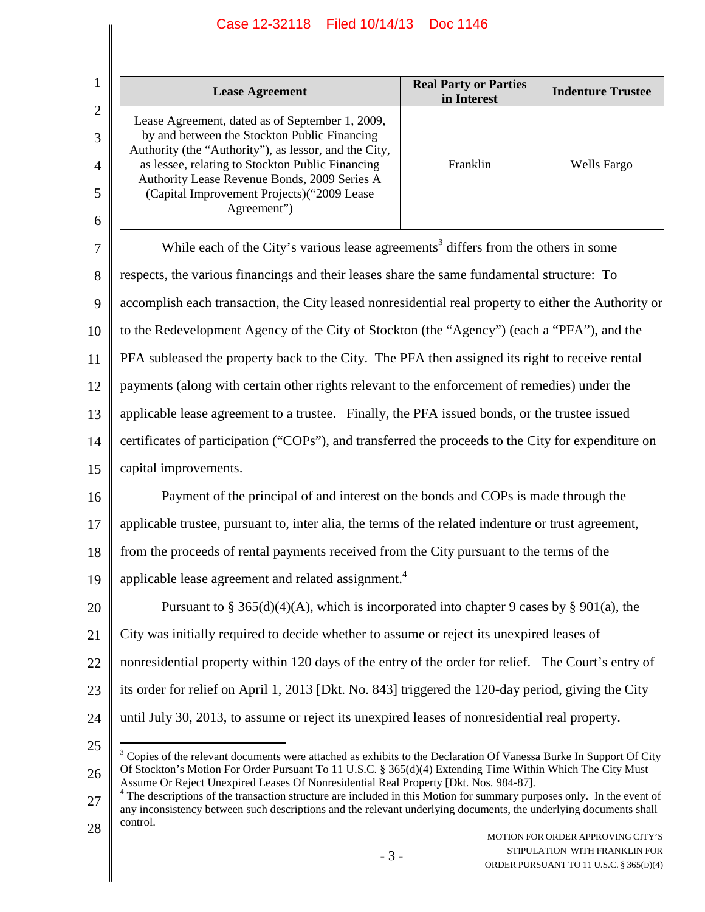# Case 12-32118 Filed 10/14/13 Doc 1146

| <b>Lease Agreement</b>                                                                                                                                                                                                                                                                                                     | <b>Real Party or Parties</b><br>in Interest | <b>Indenture Trustee</b> |
|----------------------------------------------------------------------------------------------------------------------------------------------------------------------------------------------------------------------------------------------------------------------------------------------------------------------------|---------------------------------------------|--------------------------|
| Lease Agreement, dated as of September 1, 2009,<br>by and between the Stockton Public Financing<br>Authority (the "Authority"), as lessor, and the City,<br>as lessee, relating to Stockton Public Financing<br>Authority Lease Revenue Bonds, 2009 Series A<br>(Capital Improvement Projects) ("2009 Lease<br>Agreement") | Franklin                                    | Wells Fargo              |

7 8 9 10 11 12 13 14 15 16 17 18 19 20 21 22 23 24 25 While each of the City's various lease agreements<sup>3</sup> differs from the others in some respects, the various financings and their leases share the same fundamental structure: To accomplish each transaction, the City leased nonresidential real property to either the Authority or to the Redevelopment Agency of the City of Stockton (the "Agency") (each a "PFA"), and the PFA subleased the property back to the City. The PFA then assigned its right to receive rental payments (along with certain other rights relevant to the enforcement of remedies) under the applicable lease agreement to a trustee. Finally, the PFA issued bonds, or the trustee issued certificates of participation ("COPs"), and transferred the proceeds to the City for expenditure on capital improvements. Payment of the principal of and interest on the bonds and COPs is made through the applicable trustee, pursuant to, inter alia, the terms of the related indenture or trust agreement, from the proceeds of rental payments received from the City pursuant to the terms of the applicable lease agreement and related assignment.<sup>4</sup> Pursuant to § 365(d)(4)(A), which is incorporated into chapter 9 cases by § 901(a), the City was initially required to decide whether to assume or reject its unexpired leases of nonresidential property within 120 days of the entry of the order for relief. The Court's entry of its order for relief on April 1, 2013 [Dkt. No. 843] triggered the 120-day period, giving the City until July 30, 2013, to assume or reject its unexpired leases of nonresidential real property.  $3$  Copies of the relevant documents were attached as exhibits to the Declaration Of Vanessa Burke In Support Of City

<sup>26</sup> Of Stockton's Motion For Order Pursuant To 11 U.S.C. § 365(d)(4) Extending Time Within Which The City Must Assume Or Reject Unexpired Leases Of Nonresidential Real Property [Dkt. Nos. 984-87].

<sup>27</sup> 28 <sup>4</sup> The descriptions of the transaction structure are included in this Motion for summary purposes only. In the event of any inconsistency between such descriptions and the relevant underlying documents, the underlying documents shall control.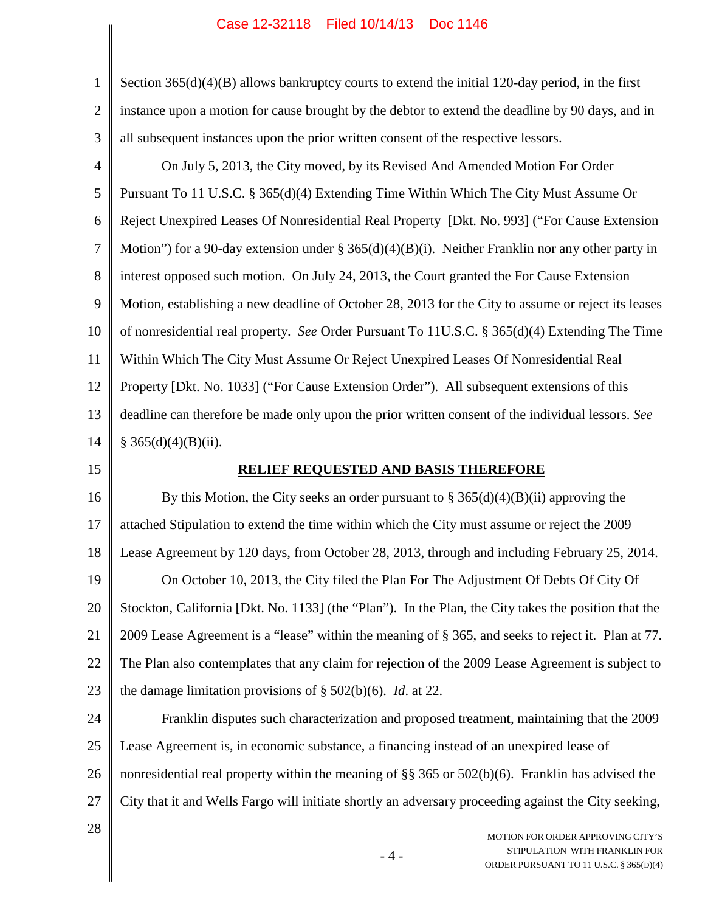# Case 12-32118 Filed 10/14/13 Doc 1146

| $\mathbf{1}$   | Section $365(d)(4)(B)$ allows bankruptcy courts to extend the initial 120-day period, in the first                     |
|----------------|------------------------------------------------------------------------------------------------------------------------|
| $\overline{2}$ | instance upon a motion for cause brought by the debtor to extend the deadline by 90 days, and in                       |
| 3              | all subsequent instances upon the prior written consent of the respective lessors.                                     |
| $\overline{4}$ | On July 5, 2013, the City moved, by its Revised And Amended Motion For Order                                           |
| 5              | Pursuant To 11 U.S.C. § 365(d)(4) Extending Time Within Which The City Must Assume Or                                  |
| 6              | Reject Unexpired Leases Of Nonresidential Real Property [Dkt. No. 993] ("For Cause Extension                           |
| $\tau$         | Motion") for a 90-day extension under § 365(d)(4)(B)(i). Neither Franklin nor any other party in                       |
| 8              | interest opposed such motion. On July 24, 2013, the Court granted the For Cause Extension                              |
| 9              | Motion, establishing a new deadline of October 28, 2013 for the City to assume or reject its leases                    |
| 10             | of nonresidential real property. See Order Pursuant To 11U.S.C. § 365(d)(4) Extending The Time                         |
| 11             | Within Which The City Must Assume Or Reject Unexpired Leases Of Nonresidential Real                                    |
| 12             | Property [Dkt. No. 1033] ("For Cause Extension Order"). All subsequent extensions of this                              |
| 13             | deadline can therefore be made only upon the prior written consent of the individual lessors. See                      |
| 14             | § 365(d)(4)(B)(ii).                                                                                                    |
| 15             | RELIEF REQUESTED AND BASIS THEREFORE                                                                                   |
| 16             | By this Motion, the City seeks an order pursuant to $\S 365(d)(4)(B)(ii)$ approving the                                |
| 17             | attached Stipulation to extend the time within which the City must assume or reject the 2009                           |
| 18             | Lease Agreement by 120 days, from October 28, 2013, through and including February 25, 2014.                           |
| 19             | On October 10, 2013, the City filed the Plan For The Adjustment Of Debts Of City Of                                    |
| 20             | Stockton, California [Dkt. No. 1133] (the "Plan"). In the Plan, the City takes the position that the                   |
| 21             | 2009 Lease Agreement is a "lease" within the meaning of § 365, and seeks to reject it. Plan at 77.                     |
| 22             | The Plan also contemplates that any claim for rejection of the 2009 Lease Agreement is subject to                      |
| 23             | the damage limitation provisions of $\S$ 502(b)(6). <i>Id.</i> at 22.                                                  |
| 24             | Franklin disputes such characterization and proposed treatment, maintaining that the 2009                              |
| 25             | Lease Agreement is, in economic substance, a financing instead of an unexpired lease of                                |
| 26             | nonresidential real property within the meaning of $\S$ 365 or 502(b)(6). Franklin has advised the                     |
| 27             | City that it and Wells Fargo will initiate shortly an adversary proceeding against the City seeking,                   |
| 28             | MOTION FOR ORDER APPROVING CITY'S<br>STIPULATION WITH FRANKLIN FOR<br>$-4-$<br>ORDER PURSUANT TO 11 U.S.C. § 365(D)(4) |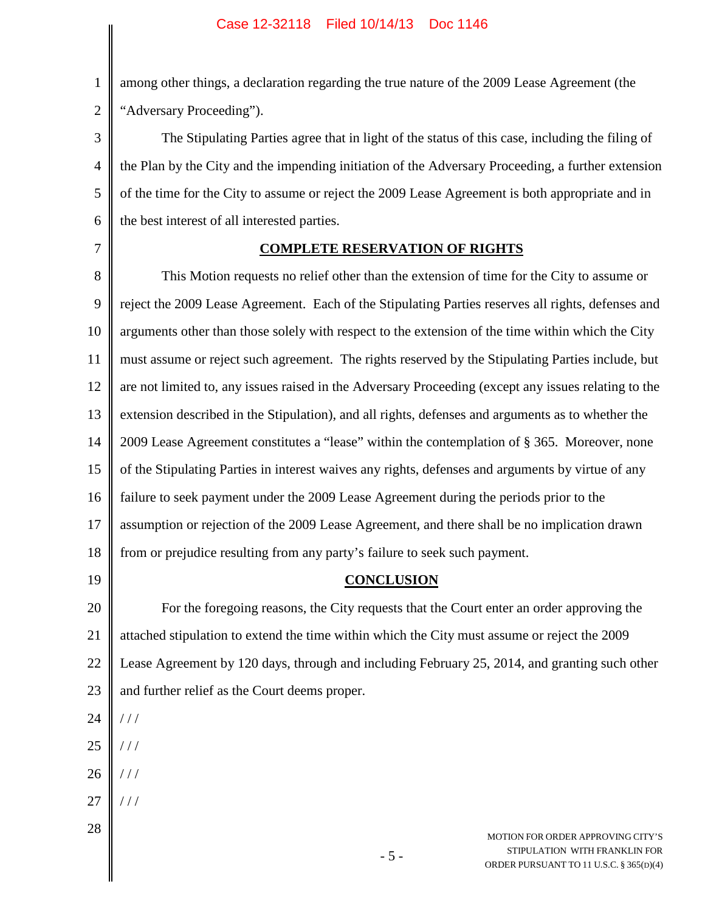among other things, a declaration regarding the true nature of the 2009 Lease Agreement (the "Adversary Proceeding").

3 4 5 6 The Stipulating Parties agree that in light of the status of this case, including the filing of the Plan by the City and the impending initiation of the Adversary Proceeding, a further extension of the time for the City to assume or reject the 2009 Lease Agreement is both appropriate and in the best interest of all interested parties.

7

1

2

### **COMPLETE RESERVATION OF RIGHTS**

8 9 10 11 12 13 14 15 16 17 18 This Motion requests no relief other than the extension of time for the City to assume or reject the 2009 Lease Agreement. Each of the Stipulating Parties reserves all rights, defenses and arguments other than those solely with respect to the extension of the time within which the City must assume or reject such agreement. The rights reserved by the Stipulating Parties include, but are not limited to, any issues raised in the Adversary Proceeding (except any issues relating to the extension described in the Stipulation), and all rights, defenses and arguments as to whether the 2009 Lease Agreement constitutes a "lease" within the contemplation of § 365. Moreover, none of the Stipulating Parties in interest waives any rights, defenses and arguments by virtue of any failure to seek payment under the 2009 Lease Agreement during the periods prior to the assumption or rejection of the 2009 Lease Agreement, and there shall be no implication drawn from or prejudice resulting from any party's failure to seek such payment.

19

# **CONCLUSION**

20 21 22 23 For the foregoing reasons, the City requests that the Court enter an order approving the attached stipulation to extend the time within which the City must assume or reject the 2009 Lease Agreement by 120 days, through and including February 25, 2014, and granting such other and further relief as the Court deems proper.

- 24 / / /
- 25 / / /
- 26 / / /
- 27  $1/1$
- 28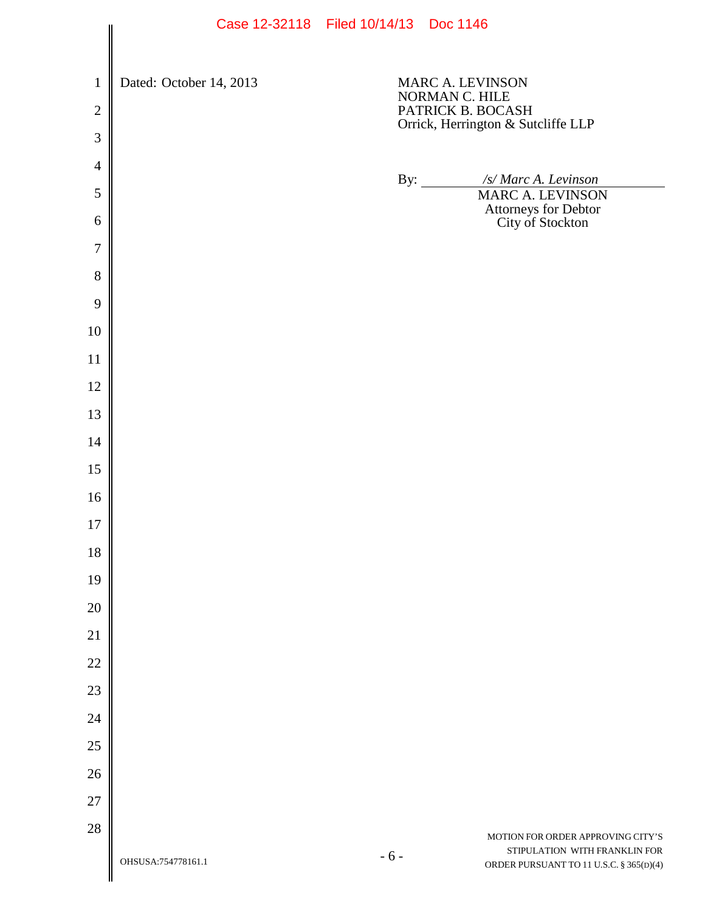|                                | Case IS-32110 Filed IO/14/13 DOC 1140 |       |                                                         |                                                                          |
|--------------------------------|---------------------------------------|-------|---------------------------------------------------------|--------------------------------------------------------------------------|
| $\mathbf{1}$<br>$\overline{2}$ | Dated: October 14, 2013               |       | MARC A. LEVINSON<br>NORMAN C. HILE<br>PATRICK B. BOCASH |                                                                          |
| 3                              |                                       |       |                                                         | Orrick, Herrington & Sutcliffe LLP                                       |
| $\overline{4}$                 |                                       |       |                                                         |                                                                          |
| 5                              |                                       |       | By: $\qquad \qquad$                                     | /s/ Marc A. Levinson<br><b>MARC A. LEVINSON</b>                          |
| 6                              |                                       |       |                                                         | Attorneys for Debtor<br>City of Stockton                                 |
| $\tau$                         |                                       |       |                                                         |                                                                          |
| 8                              |                                       |       |                                                         |                                                                          |
| 9                              |                                       |       |                                                         |                                                                          |
| 10                             |                                       |       |                                                         |                                                                          |
| 11                             |                                       |       |                                                         |                                                                          |
| 12                             |                                       |       |                                                         |                                                                          |
| 13                             |                                       |       |                                                         |                                                                          |
| 14                             |                                       |       |                                                         |                                                                          |
| 15                             |                                       |       |                                                         |                                                                          |
| 16                             |                                       |       |                                                         |                                                                          |
| 17                             |                                       |       |                                                         |                                                                          |
| 18                             |                                       |       |                                                         |                                                                          |
| 19                             |                                       |       |                                                         |                                                                          |
| 20                             |                                       |       |                                                         |                                                                          |
| 21                             |                                       |       |                                                         |                                                                          |
| 22                             |                                       |       |                                                         |                                                                          |
| 23                             |                                       |       |                                                         |                                                                          |
| 24                             |                                       |       |                                                         |                                                                          |
| 25                             |                                       |       |                                                         |                                                                          |
| 26                             |                                       |       |                                                         |                                                                          |
| $27\,$                         |                                       |       |                                                         |                                                                          |
| 28                             |                                       |       |                                                         | MOTION FOR ORDER APPROVING CITY'S                                        |
|                                | OHSUSA:754778161.1                    | $-6-$ |                                                         | STIPULATION WITH FRANKLIN FOR<br>ORDER PURSUANT TO 11 U.S.C. § 365(D)(4) |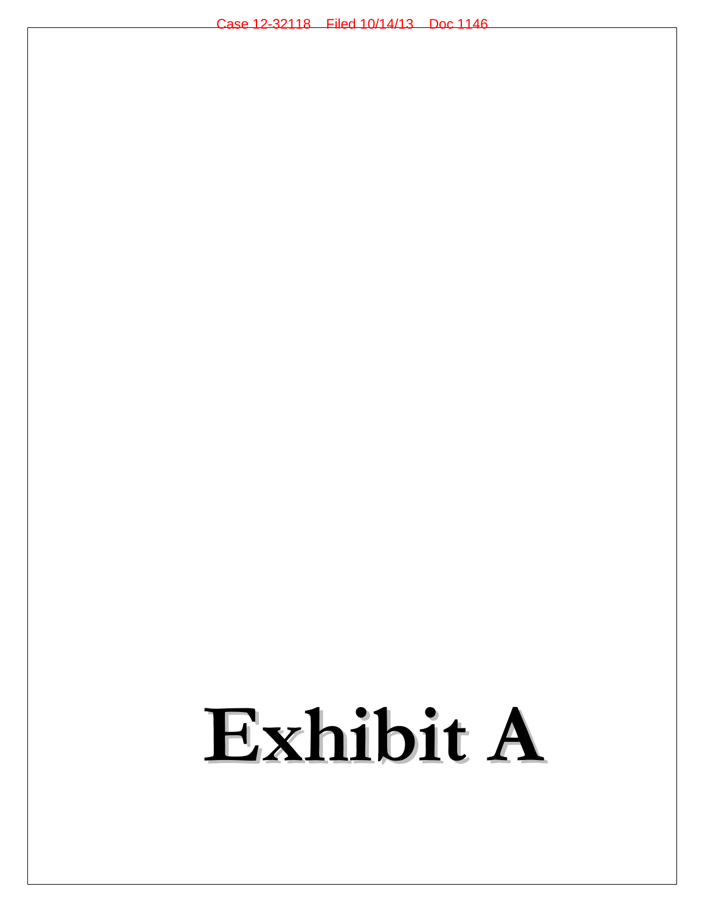# **Exhibit A**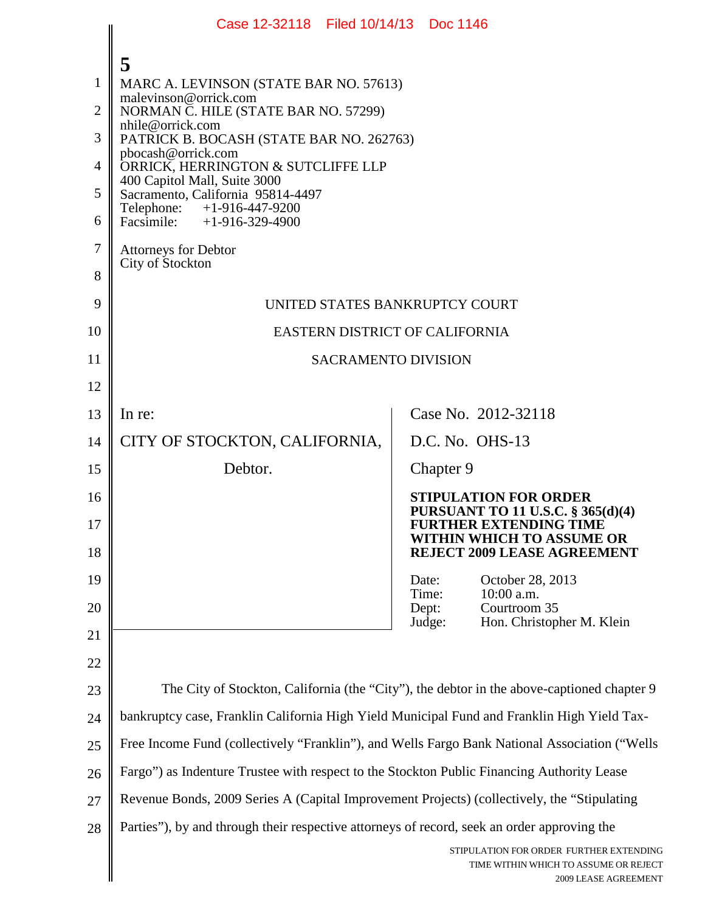|                | Case 12-32118 Filed 10/14/13 Doc 1146                                                         |                                                                                                          |  |
|----------------|-----------------------------------------------------------------------------------------------|----------------------------------------------------------------------------------------------------------|--|
| 1              | 5<br>MARC A. LEVINSON (STATE BAR NO. 57613)<br>malevinson@orrick.com                          |                                                                                                          |  |
| 2              | NORMAN C. HILE (STATE BAR NO. 57299)                                                          |                                                                                                          |  |
| 3              | nhile@orrick.com<br>PATRICK B. BOCASH (STATE BAR NO. 262763)                                  |                                                                                                          |  |
| $\overline{4}$ | pbocash@orrick.com<br>ORRICK, HERRINGTON & SUTCLIFFE LLP                                      |                                                                                                          |  |
| 5              | 400 Capitol Mall, Suite 3000<br>Sacramento, California 95814-4497                             |                                                                                                          |  |
| 6              | Telephone: $+1-916-447-9200$<br>Facsimile: $+1-916-329-4900$                                  |                                                                                                          |  |
| 7<br>8         | <b>Attorneys for Debtor</b><br>City of Stockton                                               |                                                                                                          |  |
| 9              |                                                                                               |                                                                                                          |  |
| 10             | UNITED STATES BANKRUPTCY COURT                                                                |                                                                                                          |  |
| 11             | EASTERN DISTRICT OF CALIFORNIA<br><b>SACRAMENTO DIVISION</b>                                  |                                                                                                          |  |
| 12             |                                                                                               |                                                                                                          |  |
| 13             | In re:                                                                                        | Case No. 2012-32118                                                                                      |  |
| 14             | CITY OF STOCKTON, CALIFORNIA,                                                                 | D.C. No. OHS-13                                                                                          |  |
| 15             | Debtor.                                                                                       | Chapter 9                                                                                                |  |
| 16             |                                                                                               | <b>STIPULATION FOR ORDER</b>                                                                             |  |
| 17             |                                                                                               | PURSUANT TO 11 U.S.C. § 365(d)(4)<br><b>FURTHER EXTENDING TIME</b>                                       |  |
| 18             |                                                                                               | WITHIN WHICH TO ASSUME OR<br><b>REJECT 2009 LEASE AGREEMENT</b>                                          |  |
| 19             |                                                                                               | October 28, 2013<br>Date:<br>10:00 a.m.<br>Time:                                                         |  |
| 20             |                                                                                               | Courtroom 35<br>Dept:<br>Hon. Christopher M. Klein<br>Judge:                                             |  |
| 21             |                                                                                               |                                                                                                          |  |
| 22             |                                                                                               |                                                                                                          |  |
| 23             |                                                                                               | The City of Stockton, California (the "City"), the debtor in the above-captioned chapter 9               |  |
| 24             | bankruptcy case, Franklin California High Yield Municipal Fund and Franklin High Yield Tax-   |                                                                                                          |  |
| 25             | Free Income Fund (collectively "Franklin"), and Wells Fargo Bank National Association ("Wells |                                                                                                          |  |
| 26             | Fargo") as Indenture Trustee with respect to the Stockton Public Financing Authority Lease    |                                                                                                          |  |
| 27             | Revenue Bonds, 2009 Series A (Capital Improvement Projects) (collectively, the "Stipulating   |                                                                                                          |  |
| 28             | Parties"), by and through their respective attorneys of record, seek an order approving the   |                                                                                                          |  |
|                |                                                                                               | STIPULATION FOR ORDER FURTHER EXTENDING<br>TIME WITHIN WHICH TO ASSUME OR REJECT<br>2009 LEASE AGREEMENT |  |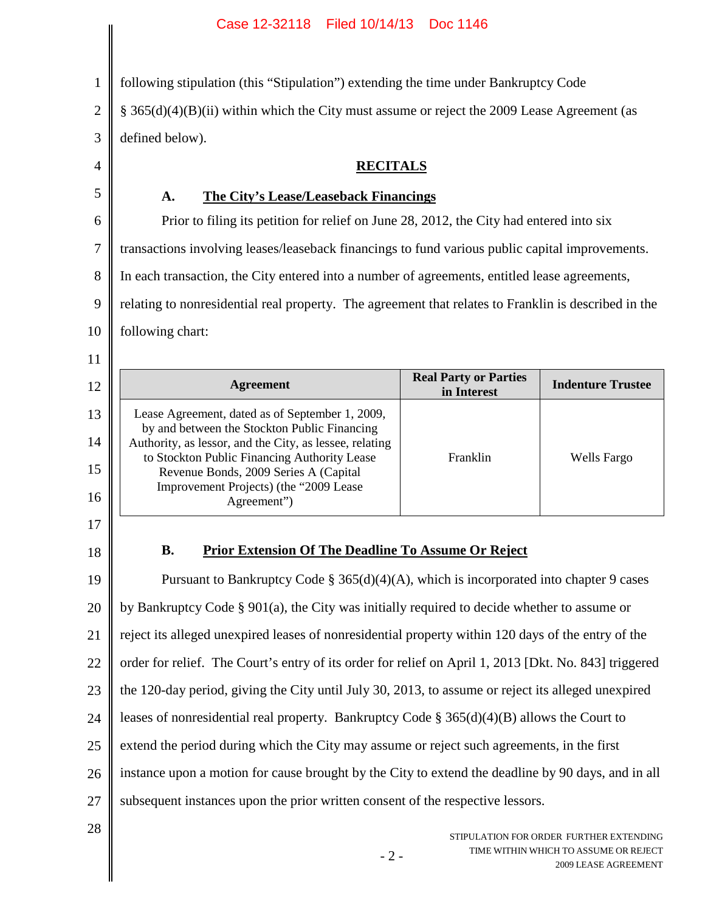#### Case 12-32118 Filed 10/14/13 Doc 1146

1 2 3 4 5 6 following stipulation (this "Stipulation") extending the time under Bankruptcy Code § 365(d)(4)(B)(ii) within which the City must assume or reject the 2009 Lease Agreement (as defined below). **RECITALS A. The City's Lease/Leaseback Financings** Prior to filing its petition for relief on June 28, 2012, the City had entered into six

7 transactions involving leases/leaseback financings to fund various public capital improvements.

8 In each transaction, the City entered into a number of agreements, entitled lease agreements,

9 relating to nonresidential real property. The agreement that relates to Franklin is described in the

10 following chart:

| 12 | Agreement                                                                                               | <b>Real Party or Parties</b><br>in Interest | <b>Indenture Trustee</b> |  |
|----|---------------------------------------------------------------------------------------------------------|---------------------------------------------|--------------------------|--|
| 13 | Lease Agreement, dated as of September 1, 2009,<br>by and between the Stockton Public Financing         |                                             |                          |  |
| 14 | Authority, as lessor, and the City, as lessee, relating<br>to Stockton Public Financing Authority Lease | Franklin                                    | Wells Fargo              |  |
| 15 | Revenue Bonds, 2009 Series A (Capital                                                                   |                                             |                          |  |
| 16 | Improvement Projects) (the "2009 Lease<br>Agreement")                                                   |                                             |                          |  |
|    |                                                                                                         |                                             |                          |  |

# 17

11

### 18

# **B. Prior Extension Of The Deadline To Assume Or Reject**

19 20 21 22 23 24 25 26 27 Pursuant to Bankruptcy Code  $\S 365(d)(4)(A)$ , which is incorporated into chapter 9 cases by Bankruptcy Code § 901(a), the City was initially required to decide whether to assume or reject its alleged unexpired leases of nonresidential property within 120 days of the entry of the order for relief. The Court's entry of its order for relief on April 1, 2013 [Dkt. No. 843] triggered the 120-day period, giving the City until July 30, 2013, to assume or reject its alleged unexpired leases of nonresidential real property. Bankruptcy Code § 365(d)(4)(B) allows the Court to extend the period during which the City may assume or reject such agreements, in the first instance upon a motion for cause brought by the City to extend the deadline by 90 days, and in all subsequent instances upon the prior written consent of the respective lessors.

- 2 -

28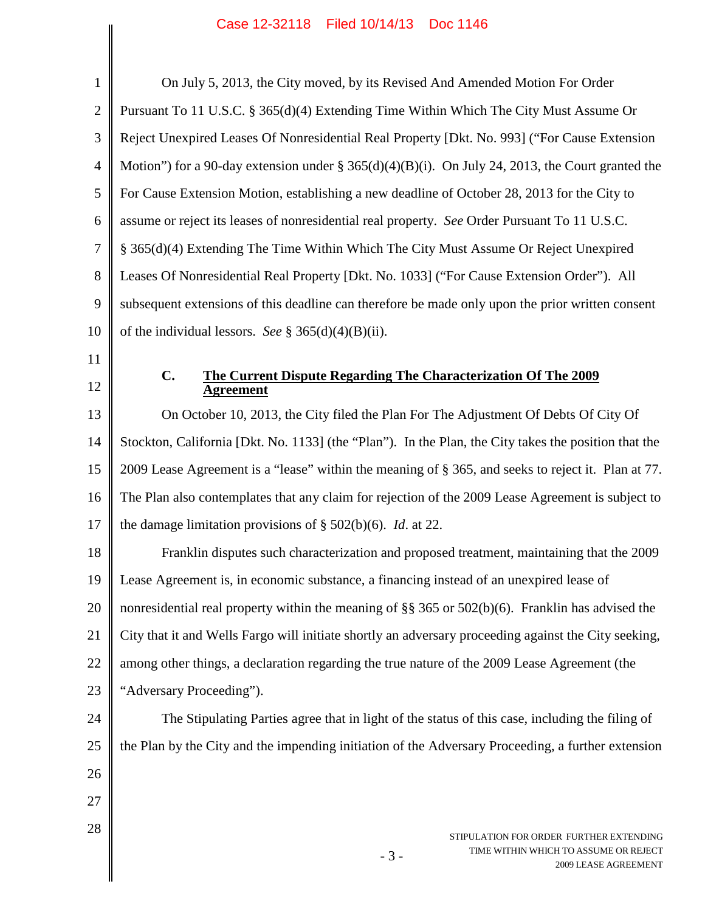| $\mathbf{1}$   | On July 5, 2013, the City moved, by its Revised And Amended Motion For Order                         |
|----------------|------------------------------------------------------------------------------------------------------|
| $\overline{2}$ | Pursuant To 11 U.S.C. § 365(d)(4) Extending Time Within Which The City Must Assume Or                |
| 3              | Reject Unexpired Leases Of Nonresidential Real Property [Dkt. No. 993] ("For Cause Extension         |
| $\overline{4}$ | Motion") for a 90-day extension under $\S 365(d)(4)(B)(i)$ . On July 24, 2013, the Court granted the |
| 5              | For Cause Extension Motion, establishing a new deadline of October 28, 2013 for the City to          |
| 6              | assume or reject its leases of nonresidential real property. See Order Pursuant To 11 U.S.C.         |
| $\tau$         | § 365(d)(4) Extending The Time Within Which The City Must Assume Or Reject Unexpired                 |
| 8              | Leases Of Nonresidential Real Property [Dkt. No. 1033] ("For Cause Extension Order"). All            |
| 9              | subsequent extensions of this deadline can therefore be made only upon the prior written consent     |
| 10             | of the individual lessors. See § 365(d)(4)(B)(ii).                                                   |
| 11             |                                                                                                      |
| 12             | $\mathbf{C}$ .<br>The Current Dispute Regarding The Characterization Of The 2009<br><u>Agreement</u> |
| 13             | On October 10, 2013, the City filed the Plan For The Adjustment Of Debts Of City Of                  |
| 14             | Stockton, California [Dkt. No. 1133] (the "Plan"). In the Plan, the City takes the position that the |
| 15             | 2009 Lease Agreement is a "lease" within the meaning of § 365, and seeks to reject it. Plan at 77.   |
| 16             | The Plan also contemplates that any claim for rejection of the 2009 Lease Agreement is subject to    |
| 17             | the damage limitation provisions of $\S$ 502(b)(6). <i>Id.</i> at 22.                                |
| 18             | Franklin disputes such characterization and proposed treatment, maintaining that the 2009            |
| 19             | Lease Agreement is, in economic substance, a financing instead of an unexpired lease of              |
| 20             | nonresidential real property within the meaning of $\S$ 365 or 502(b)(6). Franklin has advised the   |
| 21             | City that it and Wells Fargo will initiate shortly an adversary proceeding against the City seeking, |
| 22             | among other things, a declaration regarding the true nature of the 2009 Lease Agreement (the         |
| 23             | "Adversary Proceeding").                                                                             |
| 24             | The Stipulating Parties agree that in light of the status of this case, including the filing of      |
| 25             | the Plan by the City and the impending initiation of the Adversary Proceeding, a further extension   |
| 26             |                                                                                                      |
| 27             |                                                                                                      |
| 28             | STIPULATION FOR ORDER FURTHER EXTENDING                                                              |
|                | TIME WITHIN WHICH TO ASSUME OR REJECT<br>$-3-$<br>2009 LEASE AGREEMENT                               |
|                |                                                                                                      |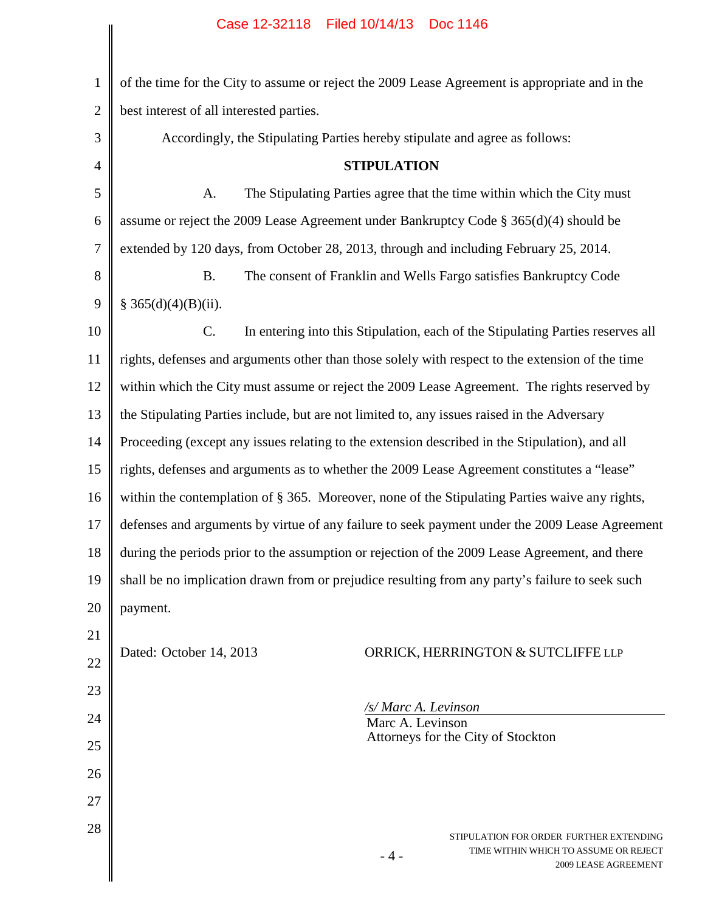| $\mathbf{1}$   | of the time for the City to assume or reject the 2009 Lease Agreement is appropriate and in the  |  |  |
|----------------|--------------------------------------------------------------------------------------------------|--|--|
| $\overline{2}$ | best interest of all interested parties.                                                         |  |  |
| 3              | Accordingly, the Stipulating Parties hereby stipulate and agree as follows:                      |  |  |
| $\overline{4}$ | <b>STIPULATION</b>                                                                               |  |  |
| 5              | The Stipulating Parties agree that the time within which the City must<br>A.                     |  |  |
| 6              | assume or reject the 2009 Lease Agreement under Bankruptcy Code $\S 365(d)(4)$ should be         |  |  |
| $\overline{7}$ | extended by 120 days, from October 28, 2013, through and including February 25, 2014.            |  |  |
| 8              | <b>B.</b><br>The consent of Franklin and Wells Fargo satisfies Bankruptcy Code                   |  |  |
| 9              | § 365(d)(4)(B)(ii).                                                                              |  |  |
| 10             | C.<br>In entering into this Stipulation, each of the Stipulating Parties reserves all            |  |  |
| 11             | rights, defenses and arguments other than those solely with respect to the extension of the time |  |  |
| 12             | within which the City must assume or reject the 2009 Lease Agreement. The rights reserved by     |  |  |
| 13             | the Stipulating Parties include, but are not limited to, any issues raised in the Adversary      |  |  |
| 14             | Proceeding (except any issues relating to the extension described in the Stipulation), and all   |  |  |
| 15             | rights, defenses and arguments as to whether the 2009 Lease Agreement constitutes a "lease"      |  |  |
| 16             | within the contemplation of § 365. Moreover, none of the Stipulating Parties waive any rights,   |  |  |
| 17             | defenses and arguments by virtue of any failure to seek payment under the 2009 Lease Agreement   |  |  |
| 18             | during the periods prior to the assumption or rejection of the 2009 Lease Agreement, and there   |  |  |
| 19             | shall be no implication drawn from or prejudice resulting from any party's failure to seek such  |  |  |
| 20             | payment.                                                                                         |  |  |
| 21             |                                                                                                  |  |  |
| 22             | Dated: October 14, 2013<br>ORRICK, HERRINGTON & SUTCLIFFE LLP                                    |  |  |
| 23             |                                                                                                  |  |  |
| 24             | /s/ Marc A. Levinson<br>Marc A. Levinson                                                         |  |  |
| 25             | Attorneys for the City of Stockton                                                               |  |  |
| 26             |                                                                                                  |  |  |
| 27             |                                                                                                  |  |  |
| 28             | STIPULATION FOR ORDER FURTHER EXTENDING                                                          |  |  |
|                | TIME WITHIN WHICH TO ASSUME OR REJECT<br>- 4 -<br>2009 LEASE AGREEMENT                           |  |  |
|                |                                                                                                  |  |  |